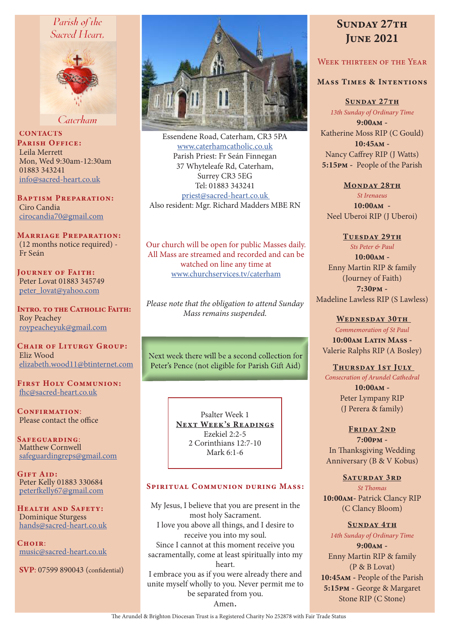# Parish of the Sacred Heart.



Caterham

**CONTACTS** PARISH OFFICE: Leila Merrett Mon, Wed 9:30am-12:30am 01883 343241 info@sacred-heart.co.uk

Baptism Preparation: Ciro Candia cirocandia70@gmail.com

Marriage Preparation: (12 months notice required) - Fr Seán

Journey of Faith: Peter Lovat 01883 345749 peter\_lovat@yahoo.com

Intro. to the Catholic Faith: Roy Peachey roypeacheyuk@gmail.com

CHAIR OF LITURGY GROUP: Eliz Wood elizabeth.wood11@btinternet.com

First Holy Communion: fhc@sacred-heart.co.uk

CONFIRMATION: Please contact the office

Safeguarding: Matthew Cornwell safeguardingreps@gmail.com

GIFT AID: Peter Kelly 01883 330684 peterfkelly67@gmail.com

HEALTH AND SAFETY: Dominique Sturgess hands@sacred-heart.co.uk

 $C$ HOIR: music@sacred-heart.co.uk

SVP: 07599 890043 (confidential)



Essendene Road, Caterham, CR3 5PA www.caterhamcatholic.co.uk Parish Priest: Fr Seán Finnegan 37 Whyteleafe Rd, Caterham, Surrey CR3 5EG Tel: 01883 343241 priest@sacred-heart.co.uk Also resident: Mgr. Richard Madders MBE RN

Our church will be open for public Masses daily. All Mass are streamed and recorded and can be watched on line any time at www.churchservices.tv/caterham

*Please note that the obligation to attend Sunday Mass remains suspended.*

Next week there will be a second collection for Peter's Pence (not eligible for Parish Gift Aid)

> Psalter Week 1 NEXT WEEK'S READINGS Ezekiel 2:2-5 2 Corinthians 12:7-10 Mark 6:1-6

#### SPIRITUAL COMMUNION DURING MASS:

My Jesus, I believe that you are present in the most holy Sacrament. I love you above all things, and I desire to receive you into my soul. Since I cannot at this moment receive you sacramentally, come at least spiritually into my heart. I embrace you as if you were already there and unite myself wholly to you. Never permit me to be separated from you. Amen.

# SUNDAY 27TH **JUNE 2021**

# WEEK THIRTEEN OF THE YEAR

#### Mass Times & Intentions

SUNDAY 27TH *13th Sunday of Ordinary Time* 9:00am - Katherine Moss RIP (C Gould) 10:45am - Nancy Caffrey RIP (J Watts) 5:15pm - People of the Parish

MONDAY 28TH *St Irenaeus* 10:00am - Neel Uberoi RIP (J Uberoi)

TUESDAY 29TH *Sts Peter & Paul* 10:00am - Enny Martin RIP & family (Journey of Faith) 7:30pm - Madeline Lawless RIP (S Lawless)

WEDNESDAY 30TH *Commemoration of St Paul* 10:00am Latin Mass -Valerie Ralphs RIP (A Bosley)

THURSDAY 1ST JULY

*Consecration of Arundel Cathedral* 

10:00am - Peter Lympany RIP (J Perera & family)

FRIDAY 2ND 7:00pm - In Thanksgiving Wedding Anniversary (B & V Kobus)

> SATURDAY 3RD *St Thomas*

10:00am- Patrick Clancy RIP (C Clancy Bloom)

SUNDAY 4TH *14th Sunday of Ordinary Time* 9:00am - Enny Martin RIP & family (P & B Lovat) 10:45am - People of the Parish 5:15pm - George & Margaret Stone RIP (C Stone)